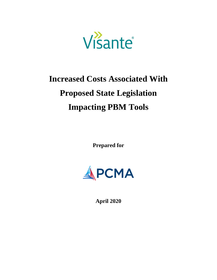

# **Increased Costs Associated With Proposed State Legislation Impacting PBM Tools**

**Prepared for**



**April 2020**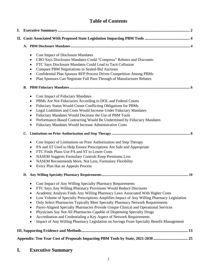# **Table of Contents**

| I. |                                                                                                                                                                                                                                                                                                                                                                                                                                                                                                                                                                                                                                                                                                                                                                                                |  |  |  |  |  |  |
|----|------------------------------------------------------------------------------------------------------------------------------------------------------------------------------------------------------------------------------------------------------------------------------------------------------------------------------------------------------------------------------------------------------------------------------------------------------------------------------------------------------------------------------------------------------------------------------------------------------------------------------------------------------------------------------------------------------------------------------------------------------------------------------------------------|--|--|--|--|--|--|
|    |                                                                                                                                                                                                                                                                                                                                                                                                                                                                                                                                                                                                                                                                                                                                                                                                |  |  |  |  |  |  |
|    |                                                                                                                                                                                                                                                                                                                                                                                                                                                                                                                                                                                                                                                                                                                                                                                                |  |  |  |  |  |  |
|    | <b>Cost Impact of Disclosure Mandates</b><br>$\bullet$<br>CBO Says Disclosure Mandates Could "Compress" Rebates and Discounts<br>$\bullet$<br>FTC Says Disclosure Mandates Could Lead to Tacit Collusion<br>$\bullet$<br>Compare PBM Negotiations to Sealed-Bid Auctions<br>٠<br>Confidential Plan Sponsor RFP Process Drives Competition Among PBMs<br>$\bullet$<br>Plan Sponsors Can Negotiate Full Pass-Through of Manufacturer Rebates<br>٠                                                                                                                                                                                                                                                                                                                                                |  |  |  |  |  |  |
|    |                                                                                                                                                                                                                                                                                                                                                                                                                                                                                                                                                                                                                                                                                                                                                                                                |  |  |  |  |  |  |
|    | <b>Cost Impact of Fiduciary Mandates</b><br>$\bullet$<br>PBMs Are Not Fiduciaries According to DOL and Federal Courts<br>٠<br>Fiduciary Status Would Create Conflicting Obligations for PBMs<br>$\bullet$<br>Legal Liabilities and Costs Would Increase Under Fiduciary Mandates<br>٠<br>Fiduciary Mandates Would Decrease the Use of PBM Tools<br>$\bullet$<br>Performance-Based Contracting Would Be Undermined by Fiduciary Mandates<br>$\bullet$<br>Fiduciary Mandates Would Increase Administrative Costs<br>٠                                                                                                                                                                                                                                                                            |  |  |  |  |  |  |
|    |                                                                                                                                                                                                                                                                                                                                                                                                                                                                                                                                                                                                                                                                                                                                                                                                |  |  |  |  |  |  |
|    | Cost Impact of Limitations on Prior Authorization and Step Therapy<br>$\bullet$<br>PA and ST Used to Help Ensure Prescriptions Are Safe and Appropriate<br>$\bullet$<br>FTC Finds Plans Use PA and ST to Lower Costs<br>٠<br>NASEM Suggests Formulary Controls Keep Premiums Low<br>$\bullet$<br>NASEM Recommends More, Not Less, Formulary Flexibility<br>٠<br>Every Plan Has an Appeals Process<br>٠                                                                                                                                                                                                                                                                                                                                                                                         |  |  |  |  |  |  |
|    | D.                                                                                                                                                                                                                                                                                                                                                                                                                                                                                                                                                                                                                                                                                                                                                                                             |  |  |  |  |  |  |
|    | Cost Impact of Any Willing Specialty Pharmacy Requirements<br>FTC Says Any Willing Pharmacy Provisions Would Reduce Discounts<br>٠<br>Academic Analysis Finds Any Willing Pharmacy Laws Associated With Higher Costs<br>Low Volume of Specialty Prescriptions Amplifies Impact of Any Willing Pharmacy Legislation<br>$\bullet$<br>Only Select Pharmacies Typically Meet Specialty Pharmacy Network Requirements<br>٠<br>Payer-Aligned Specialty Pharmacies Provide Unique Clinical and Operational Services<br>٠<br>Physicians Say Not All Pharmacies Capable of Dispensing Specialty Drugs<br>$\bullet$<br>Accreditation and Credentialing a Key Aspect of Network Requirements<br>$\bullet$<br>Impact of Any Willing Pharmacy Legislation on Savings From Specialty Benefit Management<br>٠ |  |  |  |  |  |  |
|    |                                                                                                                                                                                                                                                                                                                                                                                                                                                                                                                                                                                                                                                                                                                                                                                                |  |  |  |  |  |  |
|    | Appendix: Ten-Year Cost of Proposals Impacting PBM Tools by State, 2021-2030                                                                                                                                                                                                                                                                                                                                                                                                                                                                                                                                                                                                                                                                                                                   |  |  |  |  |  |  |

# <span id="page-1-0"></span>**I. Executive Summary**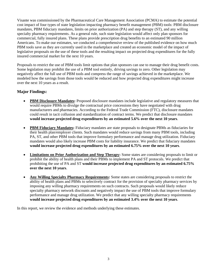Visante was commissioned by the Pharmaceutical Care Management Association (PCMA) to estimate the potential cost impact of four types of state legislation impacting pharmacy benefit management (PBM) tools: PBM disclosure mandates, PBM fiduciary mandates, limits on prior authorization (PA) and step therapy (ST), and any willing specialty pharmacy requirements. As a general rule, such state legislation would affect only plan sponsors for commercial, fully insured plans. These plans provide prescription drug benefits to an estimated 90 million Americans. To make our estimates, we conducted a comprehensive review of the published evidence on how much PBM tools save as they are currently used in the marketplace and created an economic model of the impact of legislative proposals on the use of these tools and the resulting impact on projected drug expenditures for the fully insured commercial market for the next 10 years.

Proposals to restrict the use of PBM tools limit options that plan sponsors can use to manage their drug benefit costs. Some legislation may prohibit the use of a PBM tool entirely, driving savings to zero. Other legislation may negatively affect the full use of PBM tools and compress the range of savings achieved in the marketplace. We modeled how the savings from those tools would be reduced and how projected drug expenditures might increase over the next 10 years as a result.

# **Major Findings:**

- **PBM Disclosure Mandates:** Proposed disclosure mandates include legislative and regulatory measures that would require PBMs to divulge the contractual price concessions they have negotiated with drug manufacturers and pharmacies. According to the Federal Trade Commission (FTC), disclosure mandates could result in tacit collusion and standardization of contract terms. We predict that disclosure mandates **would increase projected drug expenditures by an estimated 5.6% over the next 10 years**.
- **PBM Fiduciary Mandates:** Fiduciary mandates are state proposals to designate PBMs as fiduciaries for their health plan/employer clients. Such mandates would reduce savings from many PBM tools, including PA, ST, and other PBM tools that improve formulary performance and manage drug utilization. Fiduciary mandates would also likely increase PBM costs for liability insurance. We predict that fiduciary mandates **would increase projected drug expenditures by an estimated 6.75% over the next 10 years**.
- **Limitations on Prior Authorization and Step Therapy:** Some states are considering proposals to limit or prohibit the ability of health plans and their PBMs to implement PA and ST protocols. We predict that prohibiting the use of PA and ST **would increase projected drug expenditures by an estimated 6.75% over the next 10 years**.
- **Any Willing Specialty Pharmacy Requirements:** Some states are considering proposals to restrict the ability of health plans and PBMs to selectively contract for the provision of specialty pharmacy services by imposing any willing pharmacy requirements on such contracts. Such proposals would likely reduce specialty pharmacy network discounts and negatively impact the use of PBM tools that improve formulary performance and manage drug utilization. We predict that any willing specialty pharmacy requirements **would increase projected drug expenditures by an estimated 3.4% over the next 10 years**.

<span id="page-2-0"></span>In this report, we review the evidence and methods underlying these estimates.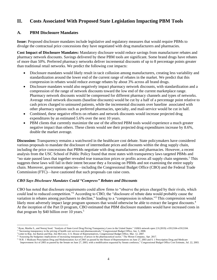# **II. Costs Associated With Proposed State Legislation Impacting PBM Tools**

# <span id="page-3-0"></span>**A. PBM Disclosure Mandates**

**Issue:** Proposed disclosure mandates include legislative and regulatory measures that would require PBMs to divulge the contractual price concessions they have negotiated with drug manufacturers and pharmacies.

**Cost Impact of Disclosure Mandates:** Mandatory disclosure would reduce savings from manufacturer rebates and pharmacy network discounts. Savings delivered by these PBM tools are significant. Some brand drugs have rebates of more than 50%. Preferred pharmacy networks deliver incremental discounts of up to 8 percentage points greater than traditional retail networks. We predict the following cost impacts:

- Disclosure mandates would likely result in tacit collusion among manufacturers, creating less variability and standardization around the lower end of the current range of rebates in the market. We predict that this compression in rebates would reduce average rebates by about 3% across all brand drugs.
- Disclosure mandates would also negatively impact pharmacy network discounts, with standardization and a compression of the range of network discounts toward the low end of the current marketplace range. Pharmacy network discounts would be compressed for different pharmacy channels and types of networks. Average retail network discounts (baseline discounts) would be cut by a half of a percentage point relative to cash prices charged to uninsured patients, while the incremental discounts over baseline associated with other pharmacy options such as preferred pharmacies, specialty, and mail-service would be cut in half.
- Combined, these negative effects on rebates and network discounts would increase projected drug expenditures by an estimated 5.6% over the next 10 years.
- PBM clients that currently maximize the use of the affected PBM tools would experience a much greater negative impact than others. These clients would see their projected drug expenditures increase by 8.6%, double the market average.

**Discussion:** Transparency remains a watchword in the healthcare cost debate. State policymakers have considered various proposals to mandate the disclosure of intermediate prices and discounts within the drug supply chain, including the price concessions that PBMs negotiate with drug manufacturers and pharmacies. However, a recent analysis from the USC School of Public Policy found that most states with transparency laws targeted PBMs and "no state passed laws that together revealed true transaction prices or profits across all supply chain segments.<sup>1</sup> This suggests these laws will fail in their intent because they a focusing on PBMs and not examining the entire supply chain. Moreover, government agencies—including the Congressional Budget Office (CBO) and the Federal Trade Commission (FTC)—have cautioned that such proposals can raise costs.

# *CBO Says Disclosure Mandates Could "Compress" Rebates and Discounts*

CBO has noted that disclosure requirements could allow firms to "observe the prices charged by their rivals, which could lead to reduced competition."<sup>2</sup> According to CBO, the "disclosure of rebate data would probably cause the variation in rebates among purchasers to decline," leading to a "compression in rebates."<sup>3</sup> This compression would likely most adversely impact large program sponsors that would otherwise be able to extract the largest discounts.<sup>4</sup> At the inception of the Part D program, CBO estimated that PBM disclosure mandates would have increased costs in that program by \$40 billion over 10 years.<sup>5</sup>

<sup>1</sup> Ryan, Martha S., and Neeraj Sood. "Analysis of State-Level Drug Pricing Transparency Laws in the United States." JAMA network open 2.9 (2019): e1912104-e1912104.

<sup>&</sup>lt;sup>2</sup> "Increasing transparency in the pricing of health care services and pharmaceuticals," Congressional Budget Office, Jun. 5, 2008.

<sup>&</sup>lt;sup>3</sup> Letter to Rep. Joe Barton and Rep. Jim McCrery, U.S. House of Representatives, Congressional Budget Office, Mar. 12, 2007.

<sup>4</sup> "Assessing the budgetary implications of increasing transparency of prices in the pharmaceutical sector," The Moran Company, Apr. 2017.

<sup>&</sup>lt;sup>5</sup> "H.R. 1 Medicare Prescription Drug and Modernization Act of 2003 as passed by the House of Representatives on June 27, 2003 and S. 1 Prescription Drug and Medicare Improvement Act of 2003 as passed by the Senate on June 27, 2003, with a modification requested by Senate conferees," Congressional Budget Office Cost Estimate, Jul. 22, 2003.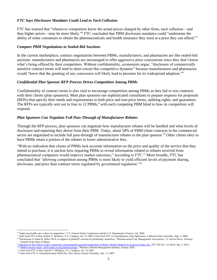# *FTC Says Disclosure Mandates Could Lead to Tacit Collusion*

FTC has warned that "whenever competitors know the actual prices charged by other firms, tacit collusion—and thus higher prices—may be more likely." <sup>6</sup> FTC concluded that PBM disclosure mandates could "undermine the ability of some consumers to obtain the pharmaceuticals and health insurance they need at a price they can afford."<sup>7</sup>

# *Compare PBM Negotiations to Sealed-Bid Auctions*

In the current marketplace, contract negotiations between PBMs, manufacturers, and pharmacies are like sealed-bid auctions: manufacturers and pharmacies are encouraged to offer aggressive price concessions since they don't know what's being offered by their competitors. Without confidentiality, economists argue, "disclosure of commercially sensitive contract terms will tend to short-circuit this competitive dynamic" because manufacturers and pharmacies would "know that the granting of any concession will likely lead to pressure for its widespread adoption."<sup>8</sup>

#### *Confidential Plan Sponsor RFP Process Drives Competition Among PBMs*

Confidentiality of contract terms is also vital to encourage competition among PBMs as they bid to win contracts with their clients (plan sponsors). Most plan sponsors use sophisticated consultants to prepare requests for proposals (RFPs) that specify their needs and requirements in both price and non-price terms, auditing rights, and guarantees. The RFPs are typically sent out to four to 12 PBMs,<sup>9</sup> with each competing PBM blind to how its competitors will respond.

# *Plan Sponsors Can Negotiate Full Pass-Through of Manufacturer Rebates*

Through the RFP process, plan sponsors can negotiate how manufacturer rebates will be handled and what levels of disclosure and reporting they desire from their PBM. Today, about 58% of PBM-client contracts in the commercial sector are negotiated to include full pass-through of manufacturer rebates to the plan sponsor.<sup>10</sup> Other clients elect to have PBMs retain a portion of the rebates to lower administrative fees.

<span id="page-4-0"></span>"With no indication that clients of PBMs lack accurate information on the price and quality of the service that they intend to purchase, it is unclear how requiring PBMs to reveal information related to rebates received from pharmaceutical companies would improve market outcomes," according to FTC.<sup>11</sup> More broadly, FTC has concluded that "allowing competition among PBMs is more likely to yield efficient levels of payment sharing, disclosure, and price than contract terms regulated by government regulation."<sup>12</sup>

<sup>6</sup> "Improving health care: a dose of competition," U.S. Federal Trade Commission and the U.S. Department of Justice, Jul. 2004.

<sup>7</sup> Letter from FTC to Rep. Patrick T. McHenry, U.S. Congress, Jul. 15, 2005; Letter from FTC to Assemblyman Greg Aghazarian, California State Assembly, Sept. 3, 2004. 8 "Declaration of Adam B. Jaffee, Ph.D. in support of plaintiff's motion for preliminary injunction," Pharmaceutical Care Management Association v. G. Steven Rowe, Attorney General of the State of Maine.

<sup>9</sup> [Statement of the Federal Trade Commission concerning](https://www.ftc.gov/sites/default/files/documents/public_statements/statement-commission-concerning-proposed-acquisition-medco-health-solutions-express-scripts-inc./120402expressmedcostatement.pdf) the proposed acquisition of Medco Health Solutions by Express Scripts, Inc., FTC File No. 111-0210, Apr. 2, 2012. <sup>10</sup> "PBMI research report: 2018 [trends in drug benefit design,"](https://www.pbmi.com/PBMI/Research/Store/BDR.aspx) Pharmacy Benefit Management Institute, January 2019.

<sup>&</sup>lt;sup>11</sup> Letter from FTC to Rep. Patrick T. McHenry, U.S. Congress, Jul. 15, 2005.

<sup>&</sup>lt;sup>12</sup> Letter from FTC to Assemblywoman Nellie Pou, New Jersey General Assembly, Apr. 17, 2007.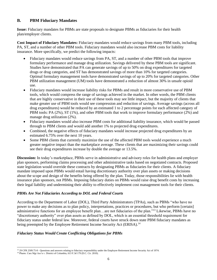# **B. PBM Fiduciary Mandates**

**Issue:** Fiduciary mandates for PBMs are state proposals to designate PBMs as fiduciaries for their health plan/employer clients.

**Cost Impact of Fiduciary Mandates:** Fiduciary mandates would reduce savings from many PBM tools, including PA, ST, and a number of other PBM tools. Fiduciary mandates would also increase PBM costs for liability insurance. More specifically, we predict the following impacts:

- Fiduciary mandates would reduce savings from PA, ST, and a number of other PBM tools that improve formulary performance and manage drug utilization. Savings delivered by these PBM tools are significant. Studies have demonstrated that PA can generate savings of up to 50% on drug expenditures for targeted drugs or drug categories, and ST has demonstrated savings of more than 10% for targeted categories. Optimal formulary management tools have demonstrated savings of up to 20% for targeted categories. Other PBM utilization management (UM) tools have demonstrated a reduction of almost 30% in unsafe opioid use.
- Fiduciary mandates would increase liability risks for PBMs and result in more conservative use of PBM tools, which would compress the range of savings achieved in the market. In other words, the PBM clients that are highly conservative in their use of these tools may see little impact, but the majority of clients that make greater use of PBM tools would see compression and reduction of savings. Average savings (across all drug expenditures) would be reduced by an estimated 1 to 2 percentage points for each affected category of PBM tools: PA (2%), ST (1%), and other PBM tools that work to improve formulary performance (2%) and manage drug utilization (2%).
- Fiduciary mandates would also increase PBM costs for additional liability insurance, which would be passed through to PBM clients and would add another 1% to projected drug expenditures.
- Combined, the negative effects of fiduciary mandates would increase projected drug expenditures by an estimated 6.75% over the next 10 years.
- Some PBM clients that currently maximize the use of the affected PBM tools would experience a much greater negative impact than the marketplace average. These clients that are maximizing their savings could see their drug expenditures increase by double the average or 13.5%.

**Discussion:** In today's marketplace, PBMs serve in administrative and advisory roles for health plans and employer plan sponsors, performing claims processing and other administrative tasks based on negotiated contracts. Proposed state legislation would override these contracts by designating PBMs as fiduciaries for their clients. A fiduciary mandate imposed upon PBMs would entail having discretionary authority over plan assets or making decisions about the scope and design of the benefits being offered by the plan. Today, those responsibilities lie with health insurance plan sponsors, not PBMs. Imposing fiduciary duties on PBMs would raise drug benefit costs by increasing their legal liability and undermining their ability to effectively implement cost management tools for their clients.

# *PBMs Are Not Fiduciaries According to DOL and Federal Courts*

According to the Department of Labor (DOL), Third Party Administrators (TPAs), such as PBMs "who have no power to make any decisions as to plan policy, interpretations, practices or procedures, but who perform [certain] administrative functions for an employee benefit plan…are not fiduciaries of the plan."<sup>13</sup> Likewise, PBMs have no "discretionary authority" over plan assets as defined by DOL, which is an essential threshold requirement for fiduciary status under federal law. Moreover, federal courts have struck down state PBM fiduciary mandates as being preempted by the Employee Retirement Income Security Act (ERISA).<sup>14</sup>

# *Fiduciary Status Would Create Conflicting Obligations for PBMs*

<sup>13</sup> 29 CFR 2509.75-8 - Questions and answers relating to fiduciary responsibility under the Employee Retirement Income Security Act of 1974.

<sup>&</sup>lt;sup>14</sup> Pharm. Care Mgt Ass'n v. District of Columbia, 613 F.3d 179 (D.C. Cir. 2010).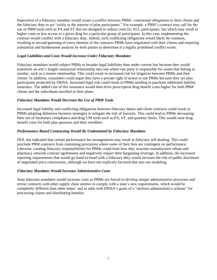Imposition of a fiduciary mandate would create a conflict between PBMs' contractual obligations to their clients and the fiduciary duty to act "solely in the interest of plan participants." For example, a PBM's contract may call for the use of PBM tools such as PA and ST that are designed to reduce costs for ALL participants, but which may result in higher costs or less access to a given drug for a particular group of participants. In this case, implementing the contract would conflict with a fiduciary duty. Indeed, such conflicting obligations would likely be common, resulting in second-guessing of every element of the contracts PBMs have negotiated with their clients and requiring substantial and burdensome analysis by both parties to determine if a legally prohibited conflict exists.

# *Legal Liabilities and Costs Would Increase Under Fiduciary Mandates*

Fiduciary mandates would subject PBMs to broader legal liabilities than under current law because they would transform an arm's length contractual relationship into one where one party is responsible for assets that belong to another, such as a trustee relationship. This could result in increased risk for litigation between PBMs and their clients. In addition, consumers could argue they have a private right of action to sue PBMs because they are plan participants protected by ERISA. Increased legal risk could result in PBMs needing to purchase additional liability insurance. The added cost of this insurance would then drive prescription drug benefit costs higher for both PBM clients and the individuals enrolled in their plans.

# *Fiduciary Mandates Would Decrease the Use of PBM Tools*

Increased legal liability and conflicting obligations between fiduciary duties and client contracts could result in PBMs adopting defensive business strategies to mitigate the risk of lawsuits. This could lead to PBMs decreasing their use of formulary compliance and drug UM tools such as PA, ST, and quantity limits. This would raise drug benefit costs for both plan sponsors and their enrollees.

# *Performance-Based Contracting Would Be Undermined by Fiduciary Mandates*

DOL has indicated that certain performance fee arrangements may result in fiduciary self-dealing. This could preclude PBM contracts from containing provisions where some of their fees are contingent on performance. Likewise, creating fiduciary responsibilities for PBMs could limit how they structure manufacturer rebate and pharmacy network contract agreements and negatively impact their bargaining leverage. In addition, the increased reporting requirements that would go hand-in-hand with a fiduciary duty would increase the risk of public disclosure of negotiated price concessions, although we have not explicitly factored that into our modeling.

# *Fiduciary Mandates Would Increase Administrative Costs*

<span id="page-6-0"></span>State fiduciary mandates would increase costs as PBMs are forced to develop unique administrative processes and revise contracts with other supply chain entities to comply with a state's new requirements, which would be completely different than other states' and at odds with ERISA's goals of a "uniform administrative scheme" for processing claims and distributing benefits.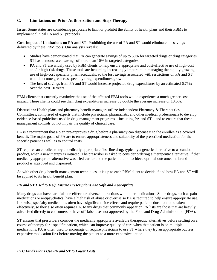# **C. Limitations on Prior Authorization and Step Therapy**

**Issue:** Some states are considering proposals to limit or prohibit the ability of health plans and their PBMs to implement clinical PA and ST protocols.

**Cost Impact of Limitations on PA and ST:** Prohibiting the use of PA and ST would eliminate the savings delivered by these PBM tools. Our analysis reveals:

- Studies have demonstrated that PA can generate savings of up to 50% for targeted drugs or drug categories. ST has demonstrated savings of more than 10% in targeted categories.
- PA and ST are widely used by PBM clients to help ensure appropriate and cost-effective use of high-cost and/or high-risk drugs. These tools are becoming increasingly important in managing the rapidly growing use of high-cost specialty pharmaceuticals, so the lost savings associated with restrictions on PA and ST would become greater as specialty drug expenditures grow.
- The loss of savings from PA and ST would increase projected drug expenditures by an estimated 6.75% over the next 10 years.

PBM clients that currently maximize the use of the affected PBM tools would experience a much greater cost impact. These clients could see their drug expenditures increase by double the average increase or 13.5%.

**Discussion:** Health plans and pharmacy benefit managers utilize independent Pharmacy & Therapeutics Committees, comprised of experts that include physicians, pharmacists, and other medical professionals to develop evidence-based guidelines used in drug management programs—including PA and ST—and to ensure that these management controls do not impair the quality of clinical care.

PA is a requirement that a plan pre-approves a drug before a pharmacy can dispense it to the enrollee as a covered benefit. The major goals of PA are to ensure appropriateness and suitability of the prescribed medication for the specific patient as well as to control costs.

ST requires an enrollee to try a medically appropriate first-line drug, typically a generic alternative to a branded product, when a new therapy is initiated. The prescriber is asked to consider ordering a therapeutic alternative. If that medically appropriate alternative was tried earlier and the patient did not achieve optimal outcome, the brand product is approved and dispensed.

As with other drug benefit management techniques, it is up to each PBM client to decide if and how PA and ST will be applied to its health benefit plan.

# *PA and ST Used to Help Ensure Prescriptions Are Safe and Appropriate*

Many drugs can have harmful side effects or adverse interactions with other medications. Some drugs, such as pain medications or antipsychotics, have a high risk of abuse or overuse so PA is required to help ensure appropriate use. Likewise, specialty medications often have significant side effects and require patient education to be taken effectively, so they also often require PA. Many drugs that commonly appear on PA lists are those that are heavily advertised directly to consumers or have off-label uses not approved by the Food and Drug Administration (FDA).

ST ensures that prescribers consider the medically appropriate available therapeutic alternatives before settling on a course of therapy for a specific patient, which can improve quality of care when that patient is on multiple medications. PA is often used to encourage or require physicians to use ST where they try an appropriate but less expensive medication first before moving the patient to a more expensive option.

# *FTC Finds Plans Use PA and ST to Lower Costs*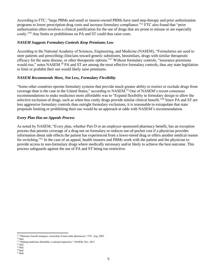According to FTC, "large PBMs and small or insurer-owned PBMs have used step-therapy and prior authorization programs to lower prescription drug costs and increase formulary compliance."<sup>15</sup> FTC also found that "prior authorization often involves a clinical justification for the use of drugs that are prone to misuse or are especially costly."<sup>16</sup> Any limits or prohibitions on PA and ST could thus raise costs.

# *NASEM Suggests Formulary Controls Keep Premiums Low*

According to the National Academy of Sciences, Engineering, and Medicine (NASEM), "Formularies are used to steer patients and prescribing clinicians toward generic substitutes, biosimilars, drugs with similar therapeutic efficacy for the same disease, or other therapeutic options."<sup>17</sup> Without formulary controls, "insurance premiums would rise," notes NASEM.<sup>18</sup> PA and ST are among the most effective formulary controls, thus any state legislation to limit or prohibit their use would likely raise premiums.

# *NASEM Recommends More, Not Less, Formulary Flexibility*

"Some other countries operate formulary systems that provide much greater ability to restrict or exclude drugs from coverage than is the case in the United States," according to NASEM.<sup>19</sup> One of NASEM's recent consensus recommendations to make medicines more affordable was to "Expand flexibility in formulary design to allow the selective exclusion of drugs, such as when less costly drugs provide similar clinical benefit."<sup>20</sup> Since PA and ST are less aggressive formulary controls than outright formulary exclusions, it is reasonable to extrapolate that state proposals limiting or prohibiting their use would be an approach at odds with NASEM's recommendation.

# *Every Plan Has an Appeals Process*

As noted by NASEM, "Every plan, whether Part D or an employer-sponsored pharmacy benefit, has an exception process that permits coverage of a drug not on formulary or reduces out-of-pocket cost if a physician provides information about side effects the patient has experienced from a lower-tiered drug or offers another medical reason for switching."<sup>21</sup> In the case of an appeal, health insurers and PBMs work with the patient and the physician to provide access to non-formulary drugs where medically necessary and/or likely to achieve the best outcome. This process safeguards against the use of PA and ST being too restrictive.

<span id="page-8-0"></span><sup>&</sup>lt;sup>15</sup> "Pharmacy benefit managers: ownership of mail-order pharmacies," FTC, Aug. 2005.

 $^{\rm 16}$  Ibid.

<sup>&</sup>lt;sup>17</sup> "Making medicines affordable: a national imperative," NASEM, Nov. 2017.

 $^{18}$  Ibid. <sup>19</sup> Ibid.

<sup>20</sup> Ibid.

 $^{21}$  Ibid.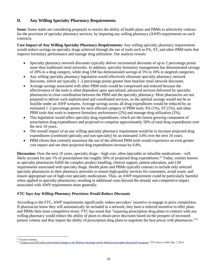# **D. Any Willing Specialty Pharmacy Requirements**

**Issue:** Some states are considering proposals to restrict the ability of health plans and PBMs to selectively contract for the provision of specialty pharmacy services, by imposing any willing pharmacy (AWP) requirements on such contracts.

**Cost Impact of Any Willing Specialty Pharmacy Requirements:** Any willing specialty pharmacy requirements would reduce savings on specialty drugs achieved through the use of tools such as PA, ST, and other PBM tools that improve formulary performance and manage drug utilization. Our analysis reveals:

- Specialty pharmacy network discounts typically deliver incremental discounts of up to 2 percentage points more than traditional retail networks. In addition, specialty formulary management has demonstrated savings of 20% in a drug category, while drug UM has demonstrated savings of 5% to 10% in targeted categories.
- Any willing specialty pharmacy legislation would effectively eliminate specialty pharmacy network discounts, which are typically 1–2 percentage points greater than baseline retail network discounts.
- Average savings associated with other PBM tools would be compressed and reduced because the effectiveness of the tools is often dependent upon specialized, advanced services delivered by specialty pharmacies in close coordination between the PBM and the specialty pharmacy. Most pharmacies are not prepared to deliver such sophisticated and coordinated services, so the optimal savings would not be as feasible under an AWP scenario. Average savings across all drug expenditures would be reduced by an estimated 1–2 percentage points for each affected category of PBM tools: PA (1%), ST (1%), and other PBM tools that work to improve formulary performance (2%) and manage drug utilization (2%).
- This legislation would affect specialty drug expenditures, which are the fastest growing component of prescription drug expenditures and projected to comprise approximately 50% of total drug expenditures over the next 10 years.
- The overall impact of an any willing specialty pharmacy requirement would be to increase projected drug expenditures (combined specialty and non-specialty) by an estimated 3.4% over the next 10 years.
- PBM clients that currently maximize the use of the affected PBM tools would experience an even greater cost impact and see their projected drug expenditures increase by 6.8%.

**Discussion:** Over the next 10 years, specialty drugs—high cost, often injectable or infusible medications—will likely account for just 1% of prescriptions but roughly 50% of projected drug expenditures.<sup>22</sup> Today, entities known as specialty pharmacies fulfill the complex product handling, clinical support, patient education, and UM requirements associated with specialty drugs. Health plans and PBMs typically contract to include only selected specialty pharmacies in their pharmacy networks to ensure high-quality services for consumers, avoid waste, and ensure appropriate use of high-cost specialty medications. Thus, an AWP requirement could be particularly harmful when applied to specialty pharmacies, resulting in additional costs beyond the already anti-competitive impact associated with AWP requirements more generally.

# *FTC Says Any Willing Pharmacy Provisions Would Reduce Discounts*

According to the FTC, AWP requirements significantly reduce providers' incentive to engage in price competition. If pharmacies know they will automatically be included in a network, they have a reduced incentive to offer plans and PBMs their most competitive terms. FTC has noted that "requiring prescription drug plans to contract with any willing pharmacy would reduce the ability of plans to obtain price discounts based on the prospect of increased patient volume and thus impair the ability of prescription drug plans to negotiate the best prices with pharmacies."<sup>23</sup>

<sup>22</sup> Visante estimates.

<sup>&</sup>lt;sup>23</sup> ["Contract year 2015 policy and technical changes to the Medicare advantage and the Medicare prescription drug benefit programs,"](https://www.ftc.gov/system/files/documents/advocacy_documents/federal-trade-commission-staff-comment-centers-medicare-medicaid-services-regarding-proposed-rule/140310cmscomment.pdf) FTC letter to CMS, Mar. 7, 2014.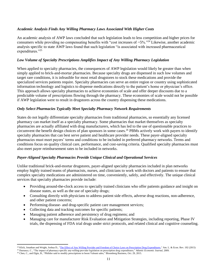# *Academic Analysis Finds Any Willing Pharmacy Laws Associated With Higher Costs*

An academic analysis of AWP laws concluded that such legislation leads to less competition and higher prices for consumers while providing no compensating benefits with "cost increases of  $\sim 5\%$ ."<sup>24</sup> Likewise, another academic analysis specific to state AWP laws found that such legislation "is associated with increased pharmaceutical expenditures."25

# *Low Volume of Specialty Prescriptions Amplifies Impact of Any Willing Pharmacy Legislation*

When applied to specialty pharmacies, the consequences of AWP legislation would likely be greater than when simply applied to brick-and-mortar pharmacies. Because specialty drugs are dispensed in such low volumes and target rare conditions, it is infeasible for most retail drugstores to stock these medications and provide the specialized services patients require. Specialty pharmacies can serve an entire region or country using sophisticated information technology and logistics to dispense medications directly to the patient's home or physician's office. This approach allows specialty pharmacies to achieve economies of scale and offer deeper discounts due to a predictable volume of prescriptions flowing through the pharmacy. These economies of scale would not be possible if AWP legislation were to result in drugstores across the country dispensing these medications.

#### *Only Select Pharmacies Typically Meet Specialty Pharmacy Network Requirements*

States do not legally differentiate specialty pharmacies from traditional pharmacies, so essentially any licensed pharmacy can market itself as a specialty pharmacy. Some pharmacies that market themselves as specialty pharmacies are actually affiliated with drug manufacturers, which has led to the use of questionable practices to circumvent the benefit design choices of plan sponsors in some cases.<sup>26</sup> PBMs actively work with payers to identify specialty pharmacies that can best serve patient and healthcare provider needs. These payer-aligned specialty pharmacies must meet payers' terms and conditions to be included in preferred pharmacy networks. Terms and conditions focus on quality clinical care, performance, and cost-saving criteria. Qualified specialty pharmacies must also meet payer reimbursement rates to be included in networks.

# *Payer-Aligned Specialty Pharmacies Provide Unique Clinical and Operational Services*

Unlike traditional brick-and-mortar drugstores, payer-aligned specialty pharmacies included in plan networks employ highly trained teams of pharmacists, nurses, and clinicians to work with doctors and patients to ensure that complex specialty medications are administered on time, conveniently, safely, and effectively. The unique clinical services that specialty pharmacies provide include:

- Providing around-the-clock access to specially trained clinicians who offer patients guidance and insight on disease states, as well as the use of specialty drugs;
- Consulting directly with physicians to address patient side effects, adverse drug reactions, non-adherence, and other patient concerns;
- Performing disease- and drug-specific patient care management services;
- Collecting data and tracking outcomes for specific patients;
- Managing patient adherence and persistency of drug regimens; and
- Managing care for manufacturer Risk Evaluation and Mitigation Strategies, including reporting, Phase IV trials, the dispensing of FDA trial drugs under strict protocols, and related clinical and cognitive counseling.

<sup>&</sup>lt;sup>24</sup> Klick, Jonathan and Wright, Joshua D., ["The Effect of Any Willing Provider and Freedom of Choice Laws on Prescription Drug Expenditures,"](https://scholarship.law.upenn.edu/faculty_scholarship/438) Am. L. & Econ. Rev. 192 (2015)

<sup>25</sup> Durrance, C., "The impact of pharmacy-specific any-willing-provider legislation on prescription drug expenditures," *Atlantic Economic Journal*, 2009.

 $^{26}$  Chen, C., and Elgin, B., "Philidor said to modify prescriptions to boost Valeant sales," Bloomberg Business, Oct. 29, 2015.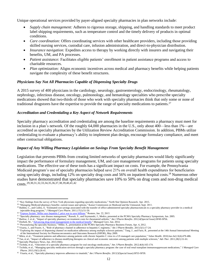Unique operational services provided by payer-aligned specialty pharmacies in plan networks include:

- *Supply chain management:* Adheres to rigorous storage, shipping, and handling standards to meet product label shipping requirements, such as temperature control and the timely delivery of products in optimal conditions.
- *Care coordination:* Offers coordinating services with other healthcare providers, including those providing skilled nursing services, custodial care, infusion administration, and direct-to-physician distribution.
- *Insurance navigation:* Expedites access to therapy by working directly with insurers and navigating their benefits, UM, and PA processes.
- *Patient assistance:* Facilitates eligible patients' enrollment in patient assistance programs and access to charitable resources.
- *Plan optimization:* Aligns economic incentives across medical and pharmacy benefits while helping patients navigate the complexity of these benefit structures.

# *Physicians Say Not All Pharmacies Capable of Dispensing Specialty Drugs*

A 2015 survey of 400 physicians in the cardiology, neurology, gastroenterology, endocrinology, rheumatology, nephrology, infectious disease, oncology, pulmonology, and hematology specialties who prescribe specialty medications showed that two-thirds of those who work with specialty pharmacies think that only some or none of traditional drugstores have the expertise to provide the range of specialty medications to patients.<sup>27</sup>

# *Accreditation and Credentialing a Key Aspect of Network Requirements*

Specialty pharmacy accreditation and credentialing are among the baseline requirements a pharmacy must meet for inclusion in a plan's network. Of the roughly 64,000 pharmacies in the U.S., only about 400—less than 1%—are accredited as specialty pharmacies by the Utilization Review Accreditation Commission. In addition, PBMs utilize credentialing to evaluate a pharmacy's ability to implement plan design, encourage formulary compliance, and meet other contractual obligations.

#### *Impact of Any Willing Pharmacy Legislation on Savings From Specialty Benefit Management*

Legislation that prevents PBMs from creating limited networks of specialty pharmacies would likely significantly impact the performance of formulary management, UM, and care management programs for patients using specialty medications. The effective use of these tools has a significant impact on costs. For example, the Pennsylvania Medicaid program's use of specialty pharmacies helped save 21% on overall health expenditures for beneficiaries using specialty drugs, including 12% on specialty drug costs and 56% on inpatient hospital costs.<sup>28</sup> Numerous other studies have demonstrated that specialty pharmacies save 10% to 50% on drug costs and non-drug medical costs.29,30,31,32,33,34,35,36,37,38,39,40,41,42

<sup>27</sup> "Key findings from the survey of New York physicians regarding specialty medications," North Star Opinion Research, Apr. 2015.

<sup>28</sup> "Managing Medicaid pharmacy benefits: current issues and options," Kaiser Commission on Medicaid and the Uninsured, Sept. 2011.

<sup>&</sup>lt;sup>29</sup> Baldini, C., and Culley, E. "Estimated cost savings associated with the transfer of office-administered specialty pharmaceuticals to a specialty pharmacy provider in a medical injectable drug program," *J Managed Care Pharm*. 2011;17(1):51-59. 30

[<sup>&</sup>quot;Express Scripts' Miller says](http://www.reuters.com/article/2015/01/22/us-express-scr-hepatitisc-idUSKBN0KV26X20150122) hepatitis C price war to save billions," Reuters, Jan. 22, 2015.

<sup>&</sup>lt;sup>31</sup> "Specialty pharmacy: rare disease management," Russek, S., and Szymanski, J., Medco, presented at the PCMA Specialty Pharmacy Symposium, Jun. 2005.

<sup>&</sup>lt;sup>32</sup> Barlow, J. et al., "Impact of specialty pharmacy on treatment costs for rheumatoid arthritis," *Am J Pharm Benefits*. 2012;4(Special Issue):SP49-SP56.<br><sup>33</sup> Dorholt, M., "Advancing drug trend managementt in the medical

<sup>&</sup>lt;sup>2</sup> antt in the medical benefit," *Managed Care*, Jun. 2014.

<sup>34</sup> "Personalizing the specialty business," Miller, S., presentation at the PCMA Specialty Pharmacy Business Forum, Apr. 4, 2012.

<sup>35</sup> Visaria, J., and Frazee, S., "Role of pharmacy channel in adherence to hepatitis C regimens," *Am J Pharm Benefits*. 2013;5(1):17-24. <sup>36</sup> "Exploring the impact of dispensing channel on medication adherence among multiple sclerosis patients," Tang, J., and Faris, R., presented at the 14th Annual International Meeting

of the International Society for Pharmacoeconomics and Outcomes Research (ISPOR), May 2009.

<sup>37</sup> Mitra, et al., "Treatment patterns and adherence among patients with chronic hepatitis C virus in a US managed care population," *Value Health*. 2010;Jun-Jul;13(4):479-486.

<sup>38</sup> Tan, et al., "Impact of adherence to disease-modifying therapies on clinical and economic outcomes among patients with multiple sclerosis," *Adv Ther*. 2011;28(1):51-61.

<sup>&</sup>lt;sup>39</sup> Specialty Pharmacy News, Jun. 2013;10(6).

<sup>40</sup> Tschida, et al., "Outcomes of a specialty pharmacy program for oral oncology medications," *Am J Pharm Benefits*. 2012;4(4):165-174.

<sup>41</sup> Tschida, et al., "Managing specialty medication services through a specialty pharmacy program: the case of oral renal transplant immunosuppressant medications," *J Managed Care Pharm*. 2013;19(1):26-41.

<sup>42</sup> Visaria, et al., "Specialty pharmacy improves adherence to imatinib," *Am J Pharm Benefits*. 2013;5(Special Issue):SP33-SP39.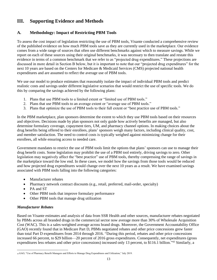# <span id="page-12-0"></span>**III. Supporting Evidence and Methods**

# **A. Methodology: Impact of Restricting PBM Tools**

To assess the cost impact of legislation restricting the use of PBM tools, Visante conducted a comprehensive review of the published evidence on how much PBM tools save as they are currently used in the marketplace. Our evidence comes from a wide range of sources that often use different benchmarks against which to measure savings. While we report on each of these sources using their original benchmarks, it was necessary to then translate and restate this evidence in terms of a common benchmark that we refer to as "projected drug expenditures." These projections are discussed in more detail in Section B below, but it is important to note that our "projected drug expenditures" for the next 10 years are based on the Centers for Medicare & Medicaid Services (CMS) projected national health expenditures and are assumed to reflect the average use of PBM tools.

We use our model to produce estimates that reasonably isolate the impact of individual PBM tools and predict realistic costs and savings under different legislative scenarios that would restrict the use of specific tools. We do this by comparing the savings achieved by the following plans:

- 1. Plans that use PBM tools to a limited extent or "limited use of PBM tools."
- 2. Plans that use PBM tools to an average extent or "average use of PBM tools."
- 3. Plans that optimize the use of PBM tools to their full extent or "best practice use of PBM tools."

In the PBM marketplace, plan sponsors determine the extent to which they use PBM tools based on their resources and objectives. Decisions made by plan sponsors not only guide how actively benefits are managed, but also determine formulary coverage, copayment tiers, UM, and pharmacy channel options. In making choices about the drug benefits being offered to their enrollees, plans' sponsors weigh many factors, including clinical quality, cost, and member satisfaction. The need to control costs is typically weighed against minimizing change for their enrollees, all while ensuring access to needed care.

Government mandates to restrict the use of PBM tools limit the options that plans' sponsors can use to manage their drug benefit costs. Some legislation may prohibit the use of a PBM tool entirely, driving savings to zero. Other legislation may negatively affect the "best practice" use of PBM tools, thereby compressing the range of savings in the marketplace toward the low end. In these cases, we model how the savings from those tools would be reduced and how projected drug expenditures would change over the next 10 years as a result. We have examined savings associated with PBM tools falling into the following categories:

- Manufacturer rebates
- Pharmacy network contract discounts (e.g., retail, preferred, mail-order, specialty)
- PA and ST
- Other PBM tools that improve formulary performance
- Other PBM tools that manage drug utilization

# *Manufacturer Rebates*

Based on Visante estimates and analysis of data from SSR Health and other sources, manufacturer rebates negotiated by PBMs across all branded drugs in the commercial sector now average more than 30% of Wholesale Acquisition Cost (WAC). This is a sales-weighted average across brand drugs. Moreover, the Government Accountability Office (GAO) recently found that in Medicare Part D, PBMs negotiated rebates and other price concessions grew faster than total Part D expenditures from 2014 through 2016. "During this period, rebates and other price concessions increased 66 percent, to \$29 billion—20 percent of 2016 gross expenditures. Consequently, net expenditures (gross expenditures less rebates and other price concessions) increased only 13 percent, to \$116.1 billion."<sup>43</sup> Similarly, a

<sup>43</sup> GAO, "Use of Pharmacy Benefit Managers and Efforts to Manage Drug Expenditures and Utilization," July 2019.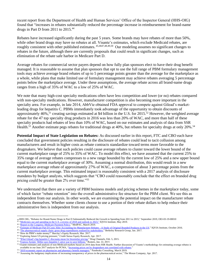recent report from the Department of Health and Human Services' Office of the Inspector General (HHS-OIG) found that "increases in rebates substantially reduced the percentage increase in reimbursement for brand-name drugs in Part D from 2011 to 2015.<sup>44</sup>

Rebates have increased significantly during the past 5 years. Some brands may have rebates of more than 50%, while other brand drugs may have no rebates at all. Visante's estimates, which exclude Medicaid rebates, are roughly consistent with other published estimates. <sup>45,4647,48,49,50</sup> Our modeling assumes no significant changes to rebates in the future, although there are currently proposals that could result in significant changes, such as elimination of the rebate safe harbor in Medicare Part D.

Average rebates for commercial sector payers depend on how fully plan sponsors elect to have their drug benefit managed. It is reasonable to assume that plan sponsors that opt to use the full range of PBM formulary management tools may achieve average brand rebates of up to 5 percentage points greater than the average for the marketplace as a whole, while plans that make limited use of formulary management may achieve rebates averaging 5 percentage points below the marketplace average. Under these assumptions, the average rebate across all brand-name drugs ranges from a high of 35% of WAC to a low of 25% of WAC.

We note that many high-cost specialty medications often have less competition and lower (or no) rebates compared with non-specialty medications. However, manufacturer competition is also becoming more important in the specialty area. For example, in late 2014, AbbVie obtained FDA approval to compete against Gilead's marketleading drugs for hepatitis C. PBMs immediately took advantage of the opportunity to obtain discounts of approximately 46%,<sup>51</sup> creating savings estimated at \$4 billion in the U.S. for 2015.<sup>52</sup> However, the weighted average rebate for the 47 top specialty drug products in 2016 was less than 20% of WAC, and more than half of these specialty products had rebates of less than 10% of WAC, based on our estimates and analysis of data from SSR Health.<sup>53</sup> Another estimate pegs rebates for traditional drugs at 40%, but rebates for specialty drugs at only 20%.<sup>54</sup>

**Potential Impact of State Legislation on Rebates:** As discussed earlier in this report, FTC and CBO each have concluded that government policies resulting in the disclosure of rebates could lead to tacit collusion among manufacturers and result in higher costs as rebate contracts standardize toward terms more favorable to the drugmakers. We believe that such policies could cause average rebates to cluster toward the lower bound of the current marketplace range of 25% to 35% of WAC. To model this effect, we have assumed that the current 25% to 35% range of average rebates compresses to a new range bounded by the current low of 25% and a new upper bound equal to the current marketplace average of 30%. Assuming a normal distribution, this would result in a new marketplace average rebate of approximately 27% of WAC, a compression of about 3 percentage points from the current marketplace average. This estimated impact is reasonably consistent with a 2017 analysis of disclosure mandates by budget analysts, which suggests that "CBO could reasonably conclude that the effect on branded drug pricing could be greater than 2% over time."<sup>55</sup>

We understand that there are a variety of PBM business models and pricing schemes in the marketplace today, some of which factor "rebate retention" into the overall administrative fee structure for the PBM client. We see this as independent from our analysis. In other words, we are examining the potential impact on the manufacturer rebate contracts themselves. Whether some clients choose to use a portion of their rebate dollars to help reduce their administrative fees is independent from our analysis.

<sup>44</sup> HHS OIG, "Rebates for Brand-Name Drugs in Part D Substantially Reduced the Growth in Spending from 2011 to 2015," September 2019, OEI-03-19-00010<br><sup>45 "</sup>Medicines use and spending in the U.S. a review of 2018 and outlook

<sup>&</sup>lt;sup>46</sup> ["Report to the Congress: Medicare Payment Policy,"](http://medpac.gov/docs/default-source/reports/mar19_medpac_entirereport_sec.pdf?sfvrsn=0) MedPAC, March 2019.

<sup>47</sup> ["Estimate of Medicare Part D Costs After Accounting for Manufacturer Rebates -](https://www.iqvia.com/-/media/iqvia/pdfs/institute-reports/estimate-of-medicare-part-d-costs-after-accounting-for-manufacturer-rebates.pdf) A Study of Original Branded Products in the US." IQVIA Institute, October 2016.

<sup>&</sup>lt;sup>48</sup> ["The pharmaceutical supply chain: gross drug expenditures realized by stakeholders,](https://www.thinkbrg.com/media/publication/863_Vandervelde_PhRMA-January-2017_WEB-FINAL.pdf)" Berkeley Research Group, Jan. 2017.

<sup>&</sup>lt;sup>49</sup> "How do PBM's make money?" Barclay's Equity Research, Mar. 2017. <sup>50</sup> "Exploring future US pricing pressure," Credit Suisse Equity Research, Apr. 2017.

<sup>&</sup>lt;sup>51</sup> ["What Gilead's big](http://www.drugchannels.net/2015/02/what-gileads-big-hepatitis-c-discounts.html#more) hepatitis C discounts mean for biosimilar pricing," Drug Channels, Feb. 5, 2015. <sup>52</sup> ["Express Scripts' Miller says](http://www.reuters.com/article/2015/01/22/us-express-scr-hepatitisc-idUSKBN0KV26X20150122) hepatitis C price war to save billions," Reuters, Jan. 22, 2015.

<sup>&</sup>lt;sup>53</sup> Visante estimates and analysis of non-Medicaid markets based on 2016 data from SSR Health. Further discussion of Visante's methodology for estimating average rebates is available in our June 2017 analysis for PCMA, ["Increasing prices set by drugmakers not correlated with rebates."](https://www.pcmanet.org/wp-content/uploads/2017/06/Visante-Study-on-Prices-vs.-Rebates-FINAL.pdf)

<sup>&</sup>lt;sup>54</sup> ["2019 economic report on pharmacies and pharmacy benefit managers,"](https://www.drugchannels.net/2019/03/new-2019-economic-report-on-us.html) Pembroke Consulting, March 2019.

<sup>55</sup> "Assessing the budgetary implications of increasing transparency of prices in the pharmaceutical sector," The Moran Company, Apr. 2017.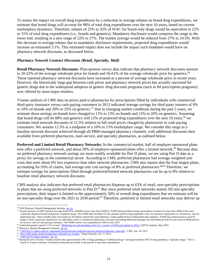To assess the impact on overall drug expenditures by a reduction in average rebates on brand drug expenditures, we estimate that brand drugs will account for 88% of total drug expenditures over the next 10 years, based on current marketplace dynamics. Therefore, rebates of 25% to 35% of WAC for brand-only drugs would be equivalent to 22% to 31% of total drug expenditures (i.e., brands and generics). Mandatory disclosure would compress the range to the lower end, resulting in a new range of 22% to 27%. The market average would be reduced from 27% to 24.5%. With this decrease in average rebates due to mandatory disclosure requirements, projected drug expenditures would increase an estimated 3.1%. This estimated impact does not include the impact such mandates would have on pharmacy network discounts, as discussed below.

#### *Pharmacy Network Contract Discounts (Retail, Specialty, Mail)*

**Retail Pharmacy Network Discounts:** Plan-sponsor survey data indicate that pharmacy network discounts amount to 20-22% of the average wholesale price for brands and 56-61% of the average wholesale price for generics.<sup>56</sup> These reported pharmacy network discounts have increased as a percent of average wholesale price in recent years. However, the historically large gap between cash prices and pharmacy network prices has actually narrowed for generic drugs due to the widespread adoption of generic drug discount programs (such as \$4 prescription programs) now offered by most major retailers.

Visante analysis of CMS data on prices paid to pharmacies for prescriptions filled by individuals with commercial third-party insurance versus cash-paying customers in 2013 indicated average savings for third-party insurers of 9% to 10% on brands and 20% to 25% on generics.<sup>57</sup> Due to changing market conditions during the past 5 years, we estimate those savings on brands have changed to 11% to 13% on brands and 15% to 20% on generics. Assuming that brand drugs will be 88% and generics will 12% of projected drug expenditures over the next 10 years,<sup>58</sup> we estimate retail network discounts of 12.5% relative to full retail prices charged by pharmacies to cash-paying consumers. We assume 12.5% is a midpoint of a 10% to 15% marketplace range. We consider this range as a baseline network discount achieved through all PBM-managed pharmacy channels, with additional discounts then available from preferred pharmacies, mail-service, and specialty pharmacies, as outlined below.

**Preferred and Limited Retail Pharmacy Networks:** In the commercial market, half of employer-sponsored plans now offer a preferred network, and about 20% of employer-sponsored plans offer a limited network.<sup>59</sup> Because data on preferred pharmacy network savings are more readily available for Part D plans, we are using Part D data as a proxy for savings in the commercial sector. According to CMS, preferred pharmacies had average weighted unit costs that were about 6% less expensive than other network pharmacies. CMS also reports that the four largest plans, accounting for 93% of claims, had average unit cost savings of 8% at preferred pharmacies.<sup>60,61</sup> Therefore, we estimate savings for prescriptions filled through preferred/limited network pharmacies can be up to 8% relative to baseline retail pharmacy network discounts.

CMS analysis also indicates that preferred retail pharmacies dispense up to 63% of retail, non-specialty prescriptions in plans that are using preferred networks in Part D.<sup>62</sup> But since preferred retail networks mainly fill non-specialty prescriptions, their impact is limited to the approximately 50% of overall drug expenditures that we estimate will be on non-specialty drugs over the 2021 to 2030 period. <sup>63</sup> Therefore, preferred or limited retail networks may deliver up

<sup>56 2018</sup> Pharmacy Benefit Management Institute[, op. cit.](https://www.pbmi.com/PBMI/Research/PBMI_Reports/Drug_Benefit_Reports/PBMI/Research/)

<sup>57</sup> Visante analysis of CMS National Average Retail Price (NARP) survey data from 2Q2013. NARP data provided average prescription revenues for more than 4,000 of the most commonly dispensed brand and generic outpatient drugs. The NARP data included: (1) the amounts paid for drug ingredient costs, (2) customer copayments or coinsurance, and (3) dispensing fees. These monthly data were based on 50 million nationwide retail pharmacy claims gathered from independent data suppliers. NARP data reflected prices paid for drugs to retail community pharmacies for individuals with (1) commercial third-party insurance (including Medicaid managed care and Medicare Part D) and with (2) Medicaid feefor-service, and (3) cash-paying customers. The NARP survey was suspended by CMS in July 2013.

<sup>&</sup>lt;sup>58</sup> Unbranded generic spend 11.7% of total. ["Medicines use and spending in the U.S. a](https://www.iqvia.com/institute/reports/medicine-use-and-spending-in-the-us-a-review-of-2018-and-outlook-to-2023) review of 2018 and outlook to 2023," IQVIA Institute, May 2019.

<sup>&</sup>lt;sup>59</sup> Pharmacy Benefit Management Institute,  $\underline{\text{op.cit}}$ <br><sup>60</sup> "CMS Part D claims analysis: negotiated pricing

<sup>&</sup>quot;CMS Part D claims analysis: negotiated pricing between [preferred and non-preferred pharmacy](http://www.cms.gov/Medicare/Prescription-Drug-Coverage/PrescriptionDrugCovGenIn/Downloads/PharmacyNetwork.pdf) networks," CMS, Apr. 30, 2013.

<sup>&</sup>lt;sup>61</sup> ["New CMS study: preferred pharmacy networks](http://www.drugchannels.net/2013/07/new-cms-study-preferred-pharmacy_11.html) are cheaper," Drug Channels, Jul. 11, 2013.

<sup>62</sup> ["CMS Part D claims analysis," o](http://www.cms.gov/Medicare/Prescription-Drug-Coverage/PrescriptionDrugCovGenIn/Downloads/PharmacyNetwork.pdf)p. cit.

<sup>&</sup>lt;sup>63</sup> During the next 10 years, Visante assumes that approximately 50% of drug spending is "traditional drugs" and approximately 50% of drug spending is "specialty drugs." This is based on Visante estimates of historical and projected trends in the growth of specialty expenditures.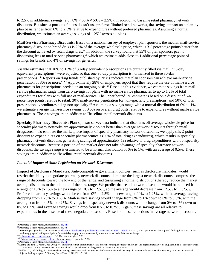to 2.5% in additional savings (e.g.,  $8\% \times 63\% \times 50\% = 2.5\%$ ), in addition to baseline retail pharmacy network discounts. But since a portion of plans doesn't use preferred/limited retail networks, the savings impact on a plan-byplan basis ranges from 0% to 2.5% relative to expenditures without preferred pharmacies. Assuming a normal distribution, we estimate an average savings of 1.25% across all plans.

**Mail-Service Pharmacy Discounts:** Based on a national survey of employer plan sponsors, the median mail-service pharmacy discount on brand drugs is 25% of the average wholesale price, which is 3-5 percentage points better than the discount achieved by retail drugstores.<sup>64</sup> In addition, the survey found that 55% of plan sponsors pay no dispensing fees to mail-service pharmacies,<sup>65</sup> which we estimate adds close to 1 additional percentage point of savings for brands and 4% of savings for generics.

Visante estimates that 10% to 15% of 30-day equivalent prescriptions are currently filled via mail ("30-day equivalent prescriptions" were adjusted so that one 90-day prescription is normalized to three 30-day prescriptions).<sup>66</sup> Reports on drug trends published by PBMs indicate that plan sponsors can achieve mail-service penetration of 30% or more.<sup>67,68</sup> Approximately 28% of employers report that they require the use of mail-service pharmacies for prescriptions needed on an ongoing basis.<sup>69</sup> Based on this evidence, we estimate savings from mailservice pharmacies range from zero savings for plans with no mail-service pharmacies to up to 1.2% of total expenditures for plans with full use of mail-service. The upper bound 1% estimate is based on a discount of 5-6 percentage points relative to retail, 30% mail-service penetration for non-specialty prescriptions, and 50% of total prescription expenditures being non-specialty.<sup>70</sup> Assuming a savings range with a normal distribution of 0% to 1%, we estimate average mail-service savings of 0.5% on overall drug costs relative to expenditures without mail-service pharmacies. These savings are in addition to "baseline" retail network discounts.

**Specialty Pharmacy Discounts:** Plan-sponsor survey data indicate that discounts off average wholesale price for specialty pharmacy networks are approximately 2 points better than average network discounts through retail drugstores.<sup>71</sup> To estimate the marketplace impact of specialty pharmacy network discounts, we apply this 2-point discount to expenditures on specialty pharmaceuticals (50% of total drug expenditures), which results in specialty pharmacy network discounts generating savings of approximately 1% relative to drug expenditures without specialty network discounts. Because a portion of the market does not take advantage of specialty pharmacy network discounts, the savings range is estimated to be a normal distribution of 0% to 1%, with an average of 0.5%. These savings are in addition to "baseline" retail network discounts.

# *Potential Impact of State Legislation on Network Discounts*

**Impact of Disclosure Mandates:** Anti-competitive government policies, such as disclosure mandates, would restrict the ability to negotiate pharmacy network discounts, eliminate the largest network discounts, compress the range of discounts toward the low end of the range, and (assuming a normal distribution) thereby reduce the market average discounts to the midpoint of the new range. We predict that retail network discounts would be reduced from a range of 10% to 15% to a new range of 10% to 12.5%, so the average would decrease from 12.5% to 11.25%. Preferred pharmacy savings would be cut from 0% to 2.5% to a new range of 0% to 1.25%, with the average savings dropping from 1.25% to 0.63%. Mail-service savings would change from 0% to 1% down to 0% to 0.5%, with the average cut from 0.5% to 0.25%. Savings from specialty network discounts would change from 0% to 1% down to 0% to 0.5%, and average savings would drop from 0.5% to 0.25%. Again, these savings are all relative to expenditures in the absence of these negotiated discounts. Based on these reductions in average network discounts,

<sup>&</sup>lt;sup>64</sup> Pharmacy Benefit Management Institute[, op. cit.](https://www.pbmi.com/PBMI/Research/PBMI_Reports/Drug_Benefit_Reports/PBMI/Research/)

<sup>&</sup>lt;sup>65</sup> Pharmacy Benefit Management Institute[, op. cit.](https://www.pbmi.com/PBMI/Research/PBMI_Reports/Drug_Benefit_Reports/PBMI/Research/)

<sup>&</sup>lt;sup>66</sup> According to Quintiles IMS Institute ("Medicines use and spending in the U.S. a review of 2018 and outlook to 2023"), prescription counts are adjusted for length of prescriptions and re-aggregated, with prescriptions for an 84-day supply or more factored by three and those under 84 days unchanged.

<sup>&</sup>lt;sup>67</sup> ["Changing rules,](http://www.cvscaremark.com/files/reports/Insights2011.pdf) changing roles," CVS Caremark Insights, 2011.

<sup>&</sup>lt;sup>68</sup> ["Driving mail service usage reduces pharmacy costs,"](https://www.optumrx.com/vgnlive/CLP/Assets/PDF/ORX6328_130213_B2B_CASESTUDY_Mandatory_Mail_Success_Story_FINAL.pdf) OptumRx, 2013.

<sup>69</sup> Pharmacy Benefit Management Institute[, op. cit.](https://www.pbmi.com/PBMI/Research/PBMI_Reports/Drug_Benefit_Reports/PBMI/Research/)

 $^{70}$  During the next 10 years (2021-2030), Visante assumes that approximately 50% of drug spending is "traditional drugs" and approximately 50% of drug spending is "specialty drugs." This is based on Visante estimates of historical and projected trends in the growth of specialty expenditures.

<sup>&</sup>lt;sup>71</sup> Baldini, C., and Culley, E., "Estimated cost savings associated with the transfer of office-administered specialty pharmaceuticals to a specialty pharmacy provider in a medical injectable drug program," *J Manag Care Pharm.* 2011;17(1):51-59.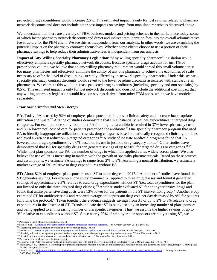projected drug expenditures would increase 2.5%. This estimated impact is only for lost savings related to pharmacy network discounts and does not include other cost impacts on savings from manufacturer rebates discussed above.

We understand that there are a variety of PBM business models and pricing schemes in the marketplace today, some of which factor pharmacy network discounts and direct and indirect remuneration fees into the overall administrative fee structure for the PBM client. We see this as independent from our analysis. In other words, we are examining the potential impact on the pharmacy contracts themselves. Whether some clients choose to use a portion of their pharmacy savings to help reduce their administrative fees is independent from our analysis.

**Impact of Any Willing Specialty Pharmacy Legislation:** "Any willing specialty pharmacy" legislation would effectively eliminate specialty pharmacy network discounts. Because specialty drugs account for just 1% of prescription volume, we believe that an any willing pharmacy requirement would spread this small volume across too many pharmacies and effectively eliminate the ability of any one pharmacy to achieve the economies of scale necessary to offer the level of discounting currently offered by in-network specialty pharmacies. Under this scenario, specialty pharmacy contract discounts would revert to the lower baseline discounts associated with standard retail pharmacies. We estimate this would increase projected drug expenditures (including specialty and non-specialty) by 0.5%. This estimated impact is only for lost network discounts and does not include the additional cost impact that any willing pharmacy legislation would have on savings derived from other PBM tools, which we have modeled separately.

#### *Prior Authorization and Step Therapy*

**PA:** Today, PA is used by 92% of employer plan sponsors to improve clinical safety and decrease inappropriate utilization and waste.<sup>72</sup> A range of studies demonstrate that PA substantially reduces expenditures in targeted drug categories. For example, one study found that PA for a high-cost antibiotic resulted in 37% lower pharmacy costs and 38% lower total cost of care for patients prescribed the antibiotic.<sup>73</sup> One specialty pharmacy program that used PA to identify inappropriate utilization across six drug categories based on nationally recognized clinical guidelines achieved a 24% cost reduction in targeted categories.<sup>74</sup> A study of 22 state Medicaid programs found that PA lowered total drug expenditures by 0.6% based on its use in just one drug category alone.<sup>75</sup> Other studies have demonstrated that PA for specialty drugs can generate savings of up to 50% for targeted drugs or categories.<sup>76,77</sup> While most plan sponsors use PA, the number of drugs to which it is applied varies widely across plans. We also believe the use of PA is increasing in tandem with the growth of specialty pharmaceuticals. Based on these sources and assumptions, we estimate PA savings to range from 2% to 8%. Assuming a normal distribution, we estimate a market average of 5%, relative to drug expenditures without PA.

**ST:** About 82% of employer plan sponsors used ST to some degree in 2017.<sup>78</sup> A number of studies have found that ST generates savings. For example, one study examined ST applied to three drug classes and found it generated savings of approximately 2.3% relative to *total* drug expenditures without ST (i.e., total expenditures for the plan, not limited to only the three targeted drug classes).<sup>79</sup> Another study evaluated ST for antihypertensive drugs and found that antihypertensive drug costs were 13% lower for the patients in the ST intervention group.<sup>80</sup> Another study examined ST for antidepressants and reported average antidepressant drug cost per day decreased by 9% for patients following the protocol.<sup>81</sup> Taken together, the evidence suggests savings from ST of up to 2% to 3% relative to drug expenditures in the absence of ST. Trends indicate that ST is being used by an increasing number of plan sponsors and being applied to an increasing number of therapeutic categories. Thus, we assume the higher savings of up to 3% relative to expenditures without ST. Since nearly 20% of employer plan sponsors are not yet using ST, we

<sup>72</sup> Pharmacy Benefit Management Institute[, op. cit.](http://www.benefitdesignreport.com/)

<sup>73</sup> Starner, et al., "A linezolid prior authorization [program: clinical and economic](http://www.ajpb.com/journals/ajpb/2014/AJPB_MarApr2014/A-Linezolid-Prior-Authorization-Program-Clinical-and-Economic-Outcomes) outcomes," *Am J Pharm Benefits*. 2014;6(2):81-88.

<sup>74 &</sup>quot;Specialty pharmacy: historical evolution and current market needs," op. cit.

<sup>75</sup> Fischer, et al., "Medicaid prior-authorization programs [and the use of cyclooxygenase-2 inhibitors,"](http://www.nejm.org/doi/full/10.1056/NEJMsa042770) *N Engl J Med.* 2004;351:2187-2194.

<sup>&</sup>lt;sup>76</sup> "Specialty utilization management proves effective: ampyra prior authorization improves safety and saves money," Prime Therapeutics, 2011.

<sup>&</sup>lt;sup>77</sup> "Specialty prior authorizations reduce costs and enhance medication safety," Walgreens Specialty Pharmacy, 2009.

<sup>78</sup> Pharmacy Benefit Management Institute[, op. cit.](https://www.pbmi.com/PBMI/Research/PBMI_Reports/Drug_Benefit_Reports/PBMI/Research/)

<sup>79</sup> Motheral, et al., "Plan-sponsor savings and member experience with point-of-service prescription step therapy," *Am J Manag Care*. 2004;10:457-464.

<sup>80</sup> Yokoyama, et al., "Effects of a step therapy program for angiotensin receptor blockers on antihypertensive medication utilization patterns and cost of drug therapy," *J Manag Care Pharm.* 2007;13(3):235-244.

<sup>81</sup> Dunn, J., et al., "Utilization and [drug costs outcomes of a step-therapy edit for generic antidepressant](http://www.jmcp.org/doi/abs/10.18553/jmcp.2006.12.4.294) in an HMO in an integrated health system," *J Manag Care Pharm*. 2006;12(4):294-302.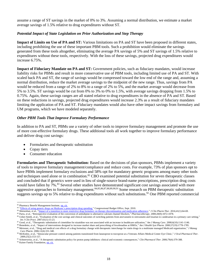assume a range of ST savings in the market of 0% to 3%. Assuming a normal distribution, we estimate a market average savings of 1.5% relative to drug expenditures without ST.

#### *Potential Impact of State Legislation on Prior Authorization and Step Therapy*

**Impact of Limits on Use of PA and ST:** Various limitations on PA and ST have been proposed in different states, including prohibiting the use of these important PBM tools. Such a prohibition would eliminate the savings generated from these tools altogether, eliminating the average PA savings of 5% and ST savings of 1.5% relative to expenditures without these tools, respectively. With the loss of these savings, projected drug expenditures would increase 6.75%.

**Impact of Fiduciary Mandate on PA and ST:** Government policies, such as fiduciary mandates, would increase liability risks for PBMs and result in more conservative use of PBM tools, including limited use of PA and ST. With scaled back PA and ST, the range of savings would be compressed toward the low end of the range and, assuming a normal distribution, reduce the market average savings to the midpoint of the new range. Thus, savings from PA would be reduced from a range of 2% to 8% to a range of 2% to 5%, and the market average would decrease from 5% to 3.5%. ST savings would be cut from 0% to 3% to 0% to 1.5%, with average savings dropping from 1.5% to 0.75%. Again, these savings ranges are all stated relative to drug expenditures in the absence of PA and ST. Based on these reductions in savings, projected drug expenditures would increase 2.3% as a result of fiduciary mandates limiting the application of PA and ST. Fiduciary mandates would also have other impact savings from formulary and UM programs, which we have modeled separately.

#### *Other PBM Tools That Improve Formulary Performance*

In addition to PA and ST, PBMs use a variety of other tools to improve formulary management and promote the use of more cost-effective formulary drugs. These additional tools all work together to improve formulary performance and deliver drug cost savings:

- Formularies and therapeutic substitution
- Copay tiers
- Consumer education

**Formularies and Therapeutic Substitution:** Based on the decisions of plan sponsors, PBMs implement a variety of tools to improve formulary management/compliance and reduce costs. For example, 73% of plan sponsors opt to have PBMs implement formulary exclusions and 58% opt for mandatory generic programs among many other tools and techniques used alone or in combination.<sup>82</sup> CBO examined potential substitution for seven therapeutic classes and concluded that if generics were used in lieu of single-source brand-name prescriptions, prescription drug costs would have fallen by 7%.<sup>83</sup> Several other studies have demonstrated significant cost savings associated with more aggressive approaches to formulary management.<sup>84,85,86,87,88,89,90,91</sup> Some research on PBM therapeutic substitution suggests savings up to 5% relative to drug expenditures without such substitutions.<sup>92</sup> One PBM reported commercial

<sup>82</sup> Pharmacy Benefit Management Institute[, op. cit.](https://www.pbmi.com/PBMI/Research/PBMI_Reports/Drug_Benefit_Reports/PBMI/Research/)

<sup>&</sup>lt;sup>83</sup> "Effects of using generic [drugs on Medicare's prescription](https://www.cbo.gov/publication/21800?index=11838) drug spending," Congressional Budget Office, Sept. 2010.<br><sup>84</sup> Shirneshan, et al., "<u>Impact of a transition to more restrictive drug formulary on therapy disco</u>

<sup>85</sup> Parra, et al., "Retrospective evaluation of the conversion of amlodipine to alternative calcium channel blockers," *Pharmacotherapy*. 2000;20(9):1072-1078.

<sup>86</sup> Usher-Smith, et al., "Evaluation of the cost savings and clinical outcomes of switching patients from atorvastatin to simvastatin and losartan to candesartan in a primary care setting," *Int J Clin Pract*. 2007;61(1):15-23.

<sup>87</sup> Good, et al., "Therapeutic substitution of cimetidine for nizatidine was not associated with an increase in healthcare utilization," *Am J Manag Care*. 2000;6(10):1141-1146.

<sup>88</sup> Benedetto, et al., "Impact of interventions designed to increase market share and prescribing of fexofenadine at HMOs," *Am J Health Syst Pharm*. 2000;57(19):1778-1785.

<sup>89</sup> Meissner, et al., "Drug and medical cost effects of a drug formulary change with therapeutic interchange for statin drugs in a multistate managed Medicaid organization," *J Manag Care Pharm*. 2006;12(4):331-340.

<sup>90</sup> McKinley, et al., "Intraocular pressure control among patients transitioned from latanoprost to travoprost at a Veterans Affairs Medical Center Eye Clinic," *J Ocul Pharmacol Ther*. 2009;25(2):153-157.

<sup>91</sup> Schneeweiss, et al., "A therapeutic substitution policy for proton pump inhibitors: clinical and economic consequences," *Clin Pharmacol Ther.* 2006;79(4):379-388.

<sup>&</sup>lt;sup>92</sup> Kaiser Family Foundation, op.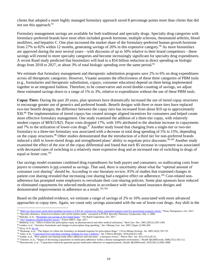clients that adopted a more highly managed formulary approach saved 8 percentage points more than clients that did not use this approach.<sup>93</sup>

Formulary management savings are available for both traditional and specialty drugs. Specialty drug categories with formulary-preferred brands have most often included growth hormone, multiple sclerosis, rheumatoid arthritis, blood modifiers, and hepatitis C. One plan increased the market share of the formulary-preferred human growth hormone from 27% to 82% within 12 months, generating savings of 20% in this expensive category.<sup>94</sup> As more biosimilars are approved during the next several years—with discounts of up to 50% relative to their brand competitors—these savings will extend to more specialty categories and become increasingly significant for specialty drug expenditures. A recent Rand study predicted that biosimilars will lead to a \$54 billion reduction in direct spending on biologic drugs from 2018 to 2027, or about 3% of total biologic spending over the same period.<sup>95</sup>

We estimate that formulary management and therapeutic substitution programs save 2% to 6% on drug expenditures across all therapeutic categories. However, Visante assumes the effectiveness of these three categories of PBM tools (e.g., formularies and therapeutic substitution, copays, consumer education) depend on them being implemented together in an integrated fashion. Therefore, to be conservative and avoid double-counting of savings, we adjust these estimated savings down to a range of 1% to 3%, relative to expenditures without the use of these PBM tools.

**Copay Tiers:** During the past 20 years, plan sponsors have dramatically increased the use of tiered copay structures to encourage greater use of generics and preferred brands. Benefit designs with three or more tiers have replaced two-tier benefit designs; the difference between the copay tiers has increased from about \$10 up to approximately \$30.<sup>96</sup> The implementation of tiered copays has created stronger aligned incentives for consumers and helped create more effective formulary management. One study examined the addition of a three-tier copay, with relatively modest copays of \$8/\$15/\$25. Payer costs dropped 17%, with 10% attributed to the absolute increase in copayments and 7% to the utilization of lower-cost drugs.<sup>97</sup> Another study found that changing from a single-tier or two-tier formulary to a three-tier formulary was associated with a decrease in total drug spending of 5% to 15%, depending on the copay structures.<sup>98</sup> Other studies demonstrated that the introduction of a third tier for non-preferred brands induced a shift to lower-tiered drugs and strengthened plans' ability to negotiate price discounts.<sup>99,100</sup> Another study examined the effect of the size of the copay differential and found that each \$5 increase in copayment was associated with decreased rates of switching to a relatively more expensive drug and an increased rate of switching to drugs of equal or lesser cost.<sup>101</sup>

Our savings model examines combined drug expenditures for both payers and consumers, so reallocating costs from payers to consumers is not counted as savings. That said, there is uncertainty about what the "optimal amount of consumer cost sharing" should be. According to one literature review, 85% of studies that examined changes in patient cost sharing revealed that increasing cost sharing had a negative effect on adherence.<sup>102</sup> Cost-related nonadherence has prompted some employers to reevaluate their cost-sharing policies. Some plan sponsors have reduced or eliminated copayments for selected medications in accordance with value-based insurance designs and demonstrated improvements in adherence as a result.<sup>103,104</sup>

Based on the published evidence, we estimate a range of savings of 2% to 10% associated with more advanced approaches to copay tiers. Again, we count only savings associated with the use of lower-cost drugs. Any shift in the

<sup>98</sup> Landon, et al., "Incentive formularies and changes in prescription drug spending," *Am J Manag Care.* Jun. 2007;13(part 2):360-369.

<sup>&</sup>lt;sup>93</sup> "Mid-year [drug trend: prime held spending increases to 0.8% for commercial clients, generated negative trend for government program clients,"](https://www.primetherapeutics.com/en/news/pressreleases/2017/prime-midyear-drugtrend-2017-release.html) Prime Therapeutics, Oct. 2017.

<sup>94</sup> "Specialty pharmacy: historical evolution and current market needs," presented at PCMA Specialty Pharmacy Symposium, May 5, 2008.

<sup>&</sup>lt;sup>95</sup> Mulcahy, et al., "<u>Biosimilar cost savings in the United States</u>," The Rand Corporation, Oct. 2017.<br><sup>96</sup> "<u>2017 Employer Health Benefits Survey</u>," Kaiser HRET, Sept. 2017.

<sup>97</sup> Motheral, et al., "Effect of three-tier prescription copay on pharmaceutical and other medical utilization," *Med Care.* Dec. 2001;39(12):1293-1304.

<sup>99</sup> Joyce, et al, **op. cit.** 

<sup>100</sup> Huskamp, et al., "The impact of a three-tier formulary on demand response for prescription drugs," *J Econ Manag Strategy.* Jul. 2005;14(3):729-753.

<sup>101</sup> Saito, et al., ["Copayment level and drug switching: findings for type 2 diabetes,](http://www.ajpb.com/journals/ajpb/2010/AJPB_10december/AJPB_10dec_Saito_412to420)" *Am J Pharm Benefits*. 2010;2(6):412-420.

<sup>102</sup> Eaddy, et al., "How patient cost-sharing trends affect adherence and outcomes—a literature review," *Pharm Ther*. Jan. 2012;37(1):45-55.

<sup>103</sup> Chernew, et al., "Impact of decreasing copayments on medication adherence within a disease management environment," *Health Aff (Millwood)*. 2008;27(1):103-112.

<sup>104</sup> Maciejewski, et al., "Copayment reductions generate greater medication adherence in targeted patients. *Health Aff (Millwood).* 2010;29(11):2002-2008.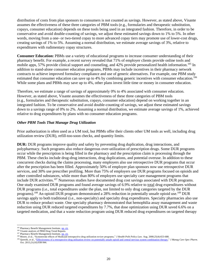distribution of costs from plan sponsors to consumers is not counted as savings. However, as stated above, Visante assumes the effectiveness of these three categories of PBM tools (e.g., formularies and therapeutic substitution, copays, consumer education) depends on these tools being used in an integrated fashion. Therefore, in order to be conservative and avoid double-counting of savings, we adjust these estimated savings down to 1% to 5%. In other words, moving from a one- or two-tiered copay to more advanced copay tiers may promote use of lower-cost drugs, creating savings of 1% to 5%. Assuming a normal distribution, we estimate average savings of 3%, relative to expenditures with rudimentary copay structures.

**Consumer Education:** PBMs use a variety of educational programs to increase consumer understanding of their pharmacy benefit. For example, a recent survey revealed that 71% of employer clients provide online tools and mobile apps, 57% provide clinical support and counseling, and 42% provide personalized health information.<sup>105</sup> In addition to stand-alone consumer education programs, PBMs may include incentives in their pharmacy network contracts to achieve improved formulary compliance and use of generic alternatives. For example, one PBM study estimated that consumer education can save up to 4% by combining generic incentives with consumer education.<sup>106</sup> While some plans and PBMs may save up to 4%, other plans invest little time or money in consumer education.

Therefore, we estimate a range of savings of approximately 0% to 4% associated with consumer education. However, as stated above, Visante assumes the effectiveness of these three categories of PBM tools (e.g., formularies and therapeutic substitution, copays, consumer education) depend on working together in an integrated fashion. To be conservative and avoid double-counting of savings, we adjust these estimated savings down to a savings range of 0% to 2%. Assuming a normal distribution, we estimate average savings of 1%, achieved relative to drug expenditures by plans with no consumer education programs.

# *Other PBM Tools That Manage Drug Utilization*

Prior authorization is often used as a UM tool, but PBMs offer their clients other UM tools as well, including drug utilization review (DUR), refill-too-soon checks, and quantity limits.

**DUR:** DUR programs improve quality and safety by preventing drug duplication, drug interactions, and polypharmacy. Such programs also reduce dangerous over-utilization of prescription drugs. Some DUR programs occur while the prescription is being filled in the pharmacy and the prescription claim is processing through the PBM. These checks include drug-drug interactions, drug duplications, and potential overuse. In addition to these concurrent checks during the claims processing, many employers also use retrospective DUR programs that occur after the prescription has been filled. Approximately 50% of employer plan sponsors now use retrospective DUR services, and 30% use prescriber profiling. More than 75% of employers use DUR programs focused on opioids and other controlled substances, while more than 80% of employers use specialty care management programs that include DUR activities.<sup>107</sup> Numerous studies have documented drug cost savings associated with DUR programs. One study examined DUR programs and found average savings of 6.9% relative to total drug expenditures without DUR programs (i.e., total expenditures under the plan, not limited to only drug categories targeted by the DUR programs).<sup>108</sup> An opioid DUR program demonstrated a 28% reduction in potentially unsafe opioid use.<sup>109</sup> DUR savings apply to both traditional (i.e., non-specialty) and specialty drug expenditures. Specialty pharmacies also use DUR to reduce product waste. One specialty pharmacy demonstrated that hemophilia assay management and waste reduction using DUR reduced targeted expenditures by 7.7%, that dose optimization using DUR saved 6.6% on a targeted medication, and that a waste reduction program using DUR reduced drug expenditures on targeted therapy

<sup>&</sup>lt;sup>105</sup> Pharmacy Benefit Management Institute[, op. cit.](https://www.pbmi.com/PBMI/Research/PBMI_Reports/Drug_Benefit_Reports/PBMI/Research/)

<sup>106</sup> Visante analysis of PBM Drug Trend Reports.

<sup>&</sup>lt;sup>107</sup> Pharmacy Benefit Management Institute[, op. cit.](https://www.pbmi.com/PBMI/Research/PBMI_Reports/Drug_Benefit_Reports/PBMI/Research/)

<sup>108</sup> Moore, et al., "Systemwide effects of Medicaid retrospective drug utilization review programs," *J Health Polit Policy Law.* Aug. 2000;25(4):653-688.

<sup>&</sup>lt;sup>109</sup> Qureshi, et al., ["Effectiveness of a retrospective drug utilization review on potentially unsafe opioid and central nervous system combination therapy,"](http://www.jmcp.org/doi/full/10.18553/jmcp.2015.21.10.938) *J Manag Care Spec Pharm.* Oct. 2015;21(10):938-944.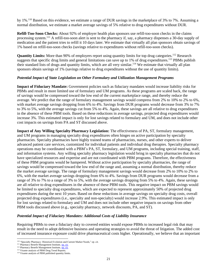by 1%.<sup>110</sup> Based on this evidence, we estimate a range of DUR savings in the marketplace of 3% to 7%. Assuming a normal distribution, we estimate a market average savings of 5% relative to drug expenditures without DUR.

**Refill-Too-Soon Checks:** About 92% of employer health plan sponsors use refill-too-soon checks in the claims processing system.<sup>111</sup> A refill-too-soon alert is sent to the pharmacy if, say, a pharmacy dispenses a 30-day supply of medication and the patient tries to refill it 10 days later. We estimate that virtually all plan sponsors obtain savings of 1% based on refill-too-soon checks (savings relative to expenditures without refill-too-soon checks).

**Quantity Limits:** More than 90% of employers report using quantity limits for top drug categories.<sup>112</sup> Research suggests that specific drug limits and general limitations can save up to 1% of drug expenditures.<sup>113</sup> PBMs publish their standard lists of drugs and quantity limits, which are all very similar.<sup>114</sup> We estimate that virtually all plan sponsors obtain savings of 1% (savings relative to drug expenditures without the use of quantity limits).

# *Potential Impact of State Legislation on Other Formulary and Utilization Management Programs*

**Impact of Fiduciary Mandate:** Government policies such as fiduciary mandates would increase liability risks for PBMs and result in more limited use of formulary and UM programs. As these programs are scaled back, the range of savings would be compressed toward the low end of the current marketplace range, and thereby reduce the average. We predict that the range of formulary management savings would compress from 2% to 10% to 2% to 6%, with market average savings dropping from 6% to 4%. Savings from DUR programs would decrease from 3% to 7% to 3% to 5%, with the average savings cut from 5% to 4%. Again, these savings are all relative to drug expenditures in the absence of these PBM tools. Based on these reductions in average savings, projected drug expenditures would increase 3%. This estimated impact is only for lost savings related to formulary and UM, and does not include other cost impacts on savings from PA and ST discussed above.

**Impact of Any Willing Specialty Pharmacy Legislation:** The effectiveness of PA, ST, formulary management, and UM programs in managing specialty drug expenditures often hinges on active participation by specialty pharmacies. Specialty pharmacies have highly trained teams of pharmacists, nurses, and other experts to deliver advanced patient care services, customized for individual patients and individual drug therapies. Specialty pharmacy operations may be coordinated with a PBM's PA, ST, formulary, and UM programs, including special training, staff, and information systems. Any willing specialty pharmacy legislation would bring in specialty pharmacies that do not have specialized resources and expertise and are not coordinated with PBM programs. Therefore, the effectiveness of these PBM programs would be hampered. Without active participation by specialty pharmacies, the range of savings would be compressed toward the low end of the range and, assuming a normal distribution, thereby reduce the market average savings. The range of formulary management savings would decrease from 2% to 10% to 2% to 6%, with the market average savings dropping from 6% to 4%. Savings from DUR programs would decrease from a range of 3% to 7% to a range of 3% to 5%, with the average savings dropping from 5% to 4%. Again, these savings are all relative to drug expenditures in the absence of these PBM tools. This negative impact on PBM savings would be limited to specialty drug expenditures, which are expected to represent approximately 50% of projected drug expenditures during the next 10 years. Based on these reductions in average savings on specialty drug costs, overall projected drug expenditures (i.e., specialty and non-specialty) would increase 2.9%. This estimated impact is only for lost savings related to formulary and UM and does not include other negative impacts on savings from other PBM tools discussed above (e.g., specialty pharmacy, network discounts, PA, and ST).

#### *Potential Impact of Fiduciary Mandates: Additional Costs of Liability Insurance*

Requiring PBMs to owe a fiduciary duty to covered entities would expose PBMs to increased legal risk that may result in the need to adopt defensive business and operating strategies to avoid the threat of litigation. The added cost of increased insurance exposure could drive pharmaceutical costs higher. Operationally, we believe that an important

<sup>&</sup>lt;sup>110</sup> "Specialty Pharmacy: Historical Evolution and Current Market Needs," op. cit.

<sup>&</sup>lt;sup>111</sup> Pharmacy Benefit Management Institute[, op. cit.](http://www.benefitdesignreport.com/)

<sup>&</sup>lt;sup>112</sup> Pharmacy Benefit Management Institute[, op. cit.](http://www.benefitdesignreport.com/)

<sup>&</sup>lt;sup>113</sup> Visante analysis of PBM Drug Trend Reports.

<sup>114</sup> Visante analysis of PBM published quantity limits.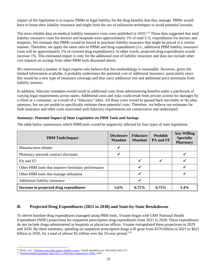impact of the legislation is to expose PBMs to legal liability for the drug benefits that they manage. PBMs would have to boost their liability insurance and might limit the use of utilization techniques to avoid potential lawsuits.

The most reliable data on medical liability insurance costs were published in 2010.<sup>115</sup> These data suggested that total liability insurance costs for doctors and hospitals were approximately 1% of total U.S. expenditures for doctors and hospitals. We estimate that PBMs would be forced to purchase liability insurance that might be priced in a similar manner. Therefore, we apply the same ratio to PBMs and drug expenditures (i.e., additional PBM liability insurance costs will be approximately 1% of covered drug expenditures). In other words, projected drug expenditures would increase 1%. This estimated impact is only for the additional cost of liability insurance and does not include other cost impacts on savings from other PBM tools discussed above.

We interviewed a number of legal experts who believe that this methodology is reasonable. However, given the limited information available, it probably understates the potential cost of additional insurance, particularly since this would be a new type of insurance coverage and thus carry additional risk and additional price premiums from liability insurers.

In addition, fiduciary mandates would result in additional costs from administering benefits under a patchwork of varying legal requirements across states. Additional costs and risks could result from private actions for damages by a client or a consumer, as a result of a "fiduciary" label. All those costs would be passed back inevitably to the plan sponsors, but we are unable to specifically estimate these potential costs. Therefore, we believe our estimates for both insurance and other costs associated with fiduciary requirements are conservative and understated.

#### *Summary: Potential Impact of State Legislation on PBM Tools and Savings*

The table below summarizes which PBM tools would be negatively affected by four types of state legislation.

| <b>PBM Tools/Impact</b>                            | <b>Disclosure</b><br><b>Mandate</b> | <b>Fiduciary</b><br><b>Mandate</b> | <b>Prohibit</b><br>PA and ST | <b>Any Willing</b><br><b>Specialty</b><br><b>Pharmacy</b> |
|----------------------------------------------------|-------------------------------------|------------------------------------|------------------------------|-----------------------------------------------------------|
| Manufacturer rebates                               | ✔                                   |                                    |                              |                                                           |
| Pharmacy network contract discounts                | ✓                                   |                                    |                              |                                                           |
| PA and ST                                          |                                     | ✔                                  |                              |                                                           |
| Other PBM tools that improve formulary performance |                                     |                                    |                              |                                                           |
| Other PBM tools that manage utilization            |                                     |                                    |                              |                                                           |
| Additional liability insurance                     |                                     |                                    |                              |                                                           |
| Increase in projected drug expenditures            | $5.6\%$                             | 6.75%                              | 6.75%                        | $3.4\%$                                                   |

# **B. Projected Drug Expenditures (2021 to 2030) and State-by-State Breakdowns**

To derive baseline drug expenditures managed using PBM tools, Visante began with CMS National Health Expenditure (NHE) projections for outpatient prescription drug expenditures from 2021 to 2028. These expenditures do not include drugs administered in hospitals or physician offices. Visante extrapolated these projections to 2029 and 2030. By these estimates, spending on outpatient prescription drugs will grow from \$376 billion in 2021 to \$621 billion in 2030, for a total of almost \$5 trillion over the 10-year period.<sup>116</sup>

<sup>115</sup> Mello, et al., ["National costs of the medical liability system,"](http://content.healthaffairs.org/content/29/9/1569) *Health Aff (Millwood).* 2010;29(9):1569-1577.

<sup>116</sup> [National Health Expenditure Data](http://www.cms.gov/Research-Statistics-Data-and-Systems/Statistics-Trends-and-Reports/NationalHealthExpendData/NationalHealthAccountsProjected.html) (2021 to 2028 data extrapolated to 2030), CMS.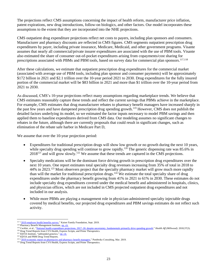The projections reflect CMS assumptions concerning the impact of health reform, manufacturer price inflation, patent expirations, new drug introductions, follow-on biologics, and other factors. Our model incorporates these assumptions to the extent that they are incorporated into the NHE projections.

CMS outpatient drug expenditure projections reflect net costs to payers, including plan sponsors and consumers. Manufacturer and pharmacy discounts are reflected in CMS figures. CMS segments outpatient prescription drug expenditures by payer, including private insurance, Medicare, Medicaid, and other government programs. Visante assumes that nearly all commercial/private insurer expenditures are associated with the use of PBM tools. Visante also estimated the share of consumer out-of-pocket expenditures arising from copayments/cost sharing for prescriptions associated with PBMs and PBM tools, based on survey data for commercial plan sponsors.<sup>117,118</sup>

After these calculations, we estimate that outpatient prescription drug expenditures for the commercial market (associated with average use of PBM tools, including plan sponsor and consumer payments) will be approximately \$172 billion in 2021 and \$2.1 trillion over the 10-year period 2021 to 2030. Drug expenditures for the fully insured portion of the commercial market will be \$83 billion in 2021 and more than \$1 trillion over the 10-year period from 2021 to 2030.

As discussed, CMS's 10-year projections reflect many assumptions regarding marketplace trends. We believe that CMS estimates reasonably capture these trends and reflect the current savings that PBMs achieve in the marketplace. For example, CMS estimates that drug manufacturer rebates to pharmacy benefit managers have increased sharply in the past few years and have dampened prescription drug spending growth.<sup>119</sup> However, CMS does not publish the detailed factors underlying its model, so we estimated the factor inputs necessary to model PBM savings and then applied them to baseline expenditures derived from CMS data. Our modeling assumes no significant changes to rebates in the future, although there are currently proposals that could result in significant changes, such as elimination of the rebate safe harbor in Medicare Part D,

We assume that over the 10-year projection period:

- Expenditures for traditional prescription drugs will show low growth or no growth during the next 10 years, while specialty drug spending will continue to grow rapidly.<sup>120</sup> The generic dispensing rate was 85.6% in 2018<sup>121</sup> and will grow slowly.<sup>122</sup> We assume that these trends are captured in the CMS projections.
- Specialty medications will be the dominant force driving growth in prescription drug expenditures over the next 10 years. One report estimates total specialty drug revenues increasing from 35% of total in 2018 to 44% in 2023.<sup>123</sup> Most observers project that the specialty pharmacy market will grow much more rapidly than will the market for traditional prescription drugs.<sup>124</sup> We estimate the total specialty share of drug expenditures under the pharmacy benefit growing from 41% in 2021 to 61% in 2030. These estimates do not include specialty drug expenditures covered under the medical benefit and administered in hospitals, clinics, and physician offices, which are not included in CMS projected outpatient drug expenditures and not included in our analysis.
- While more PBMs are playing a management role in physician-administered specialty injectable drugs covered by medical benefits, our projected drug expenditures and PBM savings estimates do not reflect such activity.

<sup>&</sup>lt;sup>117</sup> "2019 [employer health benefits survey,](https://www.kff.org/health-costs/report/2017-employer-health-benefits-survey/)" Kaiser Family Foundation, Sept. 2019.

<sup>118</sup> Pharmacy Benefit Management Institute[, op. cit.](http://www.benefitdesignreport.com/)

<sup>&</sup>lt;sup>119</sup> Cuckler, et al., "National health expenditure projections, 2017–26: despite uncertainty, fundamentals [primarily drive spending growth,"](https://www.healthaffairs.org/doi/abs/10.1377/hlthaff.2017.1655) *Health Aff (Millwood).* 2018;37(3).

<sup>&</sup>lt;sup>120</sup> Drug Trend Reports from CVS Health, Express Scripts, and Prime Therapeutics.

<sup>&</sup>lt;sup>121</sup> IQVIA Institute, "unbranded generics," [op.](https://www.iqvia.com/institute/reports/medicine-use-and-spending-in-the-us-a-review-of-2018-and-outlook-to-2023) cit.

<sup>&</sup>lt;sup>122</sup> IQVIA and PBM Drug Trend Reports.

<sup>&</sup>lt;sup>123</sup> "2019 economic report [on pharmacies and pharmacy benefit managers,"](http://drugchannelsinstitute.com/files/2017-PharmacyPBM-DCI-Overview.pdf) Pembroke Consulting, Mar. 2019.

<sup>&</sup>lt;sup>124</sup> Drug Trend Reports from CVS Health, Express Scripts, and Prime Therapeutics.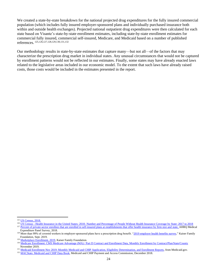We created a state-by-state breakdown for the national projected drug expenditures for the fully insured commercial population (which includes fully insured employer-sponsored plans and individually purchased insurance both within and outside health exchanges). Projected national outpatient drug expenditures were then calculated for each state based on Visante's state-by-state enrollment estimates, including state-by-state enrollment estimates for commercial fully insured, commercial self-insured, Medicare, and Medicaid based on a number of published references. 125,126,127,128,129,130,131,132

Our methodology results in state-by-state estimates that capture many—but not all—of the factors that may characterize the prescription drug market in individual states. Any unusual circumstances that would not be captured by enrollment patterns would not be reflected in our estimates. Finally, some states may have already enacted laws related to the legislative areas included in our economic model. To the extent that such laws have already raised costs, those costs would be included in the estimates presented in the report.

<sup>&</sup>lt;sup>125</sup> [US Census, 2018.](https://www.census.gov/data/tables/2016/demo/popest/nation-total.html)

<sup>&</sup>lt;sup>126</sup> US Census - Health Insurance in the United States: 2018- [Number and Percentage of People Without Health Insurance Coverage by State: 2017 to 2018](https://www2.census.gov/programs-surveys/demo/tables/p60/267/table6.xls)

<sup>&</sup>lt;sup>127</sup> [Percent of private-sector enrollees that are enrolled in self-insured plans at establishments that offer health insurance by firm size and state,](https://meps.ahrq.gov/data_stats/summ_tables/insr/state/series_2/2016/tiib2b1.htm) AHRQ Medical [Expenditure Panel Survey,](https://meps.ahrq.gov/data_stats/summ_tables/insr/state/series_2/2016/tiib2b1.htm) 2018.

<sup>&</sup>lt;sup>128</sup> More than 99% of covered workers in employer-sponsored plans have a prescription drug benefit. "2019 [employer health benefits survey,"](https://www.kff.org/health-costs/report/2019-employer-health-benefits-survey/) Kaiser Family Foundation, Sept. 2019.

<sup>&</sup>lt;sup>129</sup> [Marketplace Enrollment, 2019,](https://www.kff.org/health-reform/state-indicator/marketplace-enrollment/?currentTimeframe=0&sortModel=%7B%22colId%22:%22Location%22,%22sort%22:%22asc%22%7D) Kaiser Family Foundation.

<sup>&</sup>lt;sup>130</sup> [Medicare Enrollment: CMS Medicare Advantage \(MA\) / Part D Contract and Enrollment Data, Monthly Enrollment by Contract/Plan/State/County](https://www.cms.gov/Research-Statistics-Data-and-Systems/Statistics-Trends-and-Reports/MCRAdvPartDEnrolData/Monthly-Enrollment-by-Contract-Plan-State-County.html) November 2019.

<sup>&</sup>lt;sup>131</sup> [Medicaid Enrollment Nov 2019: Monthly Medicaid and CHIP Application, Eligibility Determination, and Enrollment Reports,](https://www.medicaid.gov/medicaid-chip-program-information/program-information/medicaid-and-chip-enrollment-data/medicaid-and-chip-application-eligibility-determination-and-enrollment-data.html) from Medicaid.gov.

<sup>&</sup>lt;sup>132</sup> [MACStats: Medicaid and CHIP Data Book,](https://www.macpac.gov/publication/macstats-medicaid-and-chip-data-book-2/) Medicaid and CHIP Payment and Access Commission, December 2018.